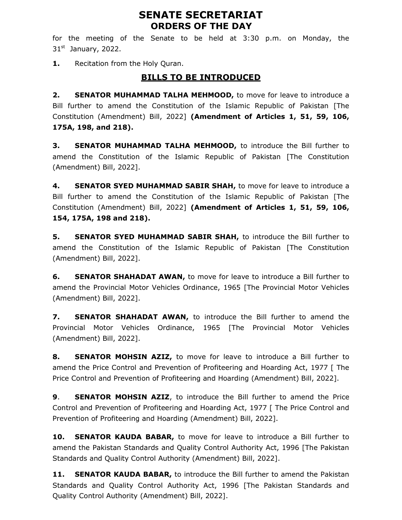# SENATE SECRETARIAT ORDERS OF THE DAY

for the meeting of the Senate to be held at 3:30 p.m. on Monday, the  $31<sup>st</sup>$  January, 2022.

1. Recitation from the Holy Quran.

## BILLS TO BE INTRODUCED

2. SENATOR MUHAMMAD TALHA MEHMOOD, to move for leave to introduce a Bill further to amend the Constitution of the Islamic Republic of Pakistan [The Constitution (Amendment) Bill, 2022] (Amendment of Articles 1, 51, 59, 106, 175A, 198, and 218).

**3. SENATOR MUHAMMAD TALHA MEHMOOD,** to introduce the Bill further to amend the Constitution of the Islamic Republic of Pakistan [The Constitution (Amendment) Bill, 2022].

4. SENATOR SYED MUHAMMAD SABIR SHAH, to move for leave to introduce a Bill further to amend the Constitution of the Islamic Republic of Pakistan [The Constitution (Amendment) Bill, 2022] (Amendment of Articles 1, 51, 59, 106, 154, 175A, 198 and 218).

**5.** SENATOR SYED MUHAMMAD SABIR SHAH, to introduce the Bill further to amend the Constitution of the Islamic Republic of Pakistan [The Constitution (Amendment) Bill, 2022].

**6.** SENATOR SHAHADAT AWAN, to move for leave to introduce a Bill further to amend the Provincial Motor Vehicles Ordinance, 1965 [The Provincial Motor Vehicles (Amendment) Bill, 2022].

7. SENATOR SHAHADAT AWAN, to introduce the Bill further to amend the Provincial Motor Vehicles Ordinance, 1965 [The Provincial Motor Vehicles (Amendment) Bill, 2022].

8. SENATOR MOHSIN AZIZ, to move for leave to introduce a Bill further to amend the Price Control and Prevention of Profiteering and Hoarding Act, 1977 [ The Price Control and Prevention of Profiteering and Hoarding (Amendment) Bill, 2022].

**9.** SENATOR MOHSIN AZIZ, to introduce the Bill further to amend the Price Control and Prevention of Profiteering and Hoarding Act, 1977 [ The Price Control and Prevention of Profiteering and Hoarding (Amendment) Bill, 2022].

10. SENATOR KAUDA BABAR, to move for leave to introduce a Bill further to amend the Pakistan Standards and Quality Control Authority Act, 1996 [The Pakistan Standards and Quality Control Authority (Amendment) Bill, 2022].

**11. SENATOR KAUDA BABAR,** to introduce the Bill further to amend the Pakistan Standards and Quality Control Authority Act, 1996 [The Pakistan Standards and Quality Control Authority (Amendment) Bill, 2022].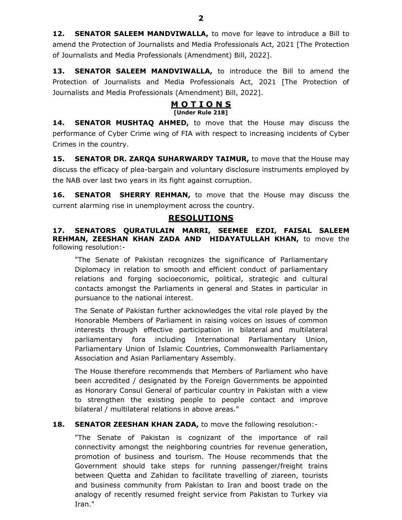12. SENATOR SALEEM MANDVIWALLA, to move for leave to introduce a Bill to amend the Protection of Journalists and Media Professionals Act, 2021 [The Protection of Journalists and Media Professionals (Amendment) Bill, 2022].

13. SENATOR SALEEM MANDVIWALLA, to introduce the Bill to amend the Protection of Journalists and Media Professionals Act, 2021 [The Protection of Journalists and Media Professionals (Amendment) Bill, 2022].

#### **MOTIONS** [Under Rule 218]

**14. SENATOR MUSHTAQ AHMED,** to move that the House may discuss the performance of Cyber Crime wing of FIA with respect to increasing incidents of Cyber Crimes in the country.

**15. SENATOR DR. ZARQA SUHARWARDY TAIMUR, to move that the House may** discuss the efficacy of plea-bargain and voluntary disclosure instruments employed by the NAB over last two years in its fight against corruption.

16. SENATOR SHERRY REHMAN, to move that the House may discuss the current alarming rise in unemployment across the country.

### RESOLUTIONS

17. SENATORS QURATULAIN MARRI, SEEMEE EZDI, FAISAL SALEEM REHMAN, ZEESHAN KHAN ZADA AND HIDAYATULLAH KHAN, to move the following resolution:-

"The Senate of Pakistan recognizes the significance of Parliamentary Diplomacy in relation to smooth and efficient conduct of parliamentary relations and forging socioeconomic, political, strategic and cultural contacts amongst the Parliaments in general and States in particular in pursuance to the national interest.

The Senate of Pakistan further acknowledges the vital role played by the Honorable Members of Parliament in raising voices on issues of common interests through effective participation in bilateral and multilateral parliamentary fora including International Parliamentary Union, Parliamentary Union of Islamic Countries, Commonwealth Parliamentary Association and Asian Parliamentary Assembly.

The House therefore recommends that Members of Parliament who have been accredited / designated by the Foreign Governments be appointed as Honorary Consul General of particular country in Pakistan with a view to strengthen the existing people to people contact and improve bilateral / multilateral relations in above areas."

### 18. SENATOR ZEESHAN KHAN ZADA, to move the following resolution:-

"The Senate of Pakistan is cognizant of the importance of rail connectivity amongst the neighboring countries for revenue generation, promotion of business and tourism. The House recommends that the Government should take steps for running passenger/freight trains between Quetta and Zahidan to facilitate travelling of ziareen, tourists and business community from Pakistan to Iran and boost trade on the analogy of recently resumed freight service from Pakistan to Turkey via Iran."